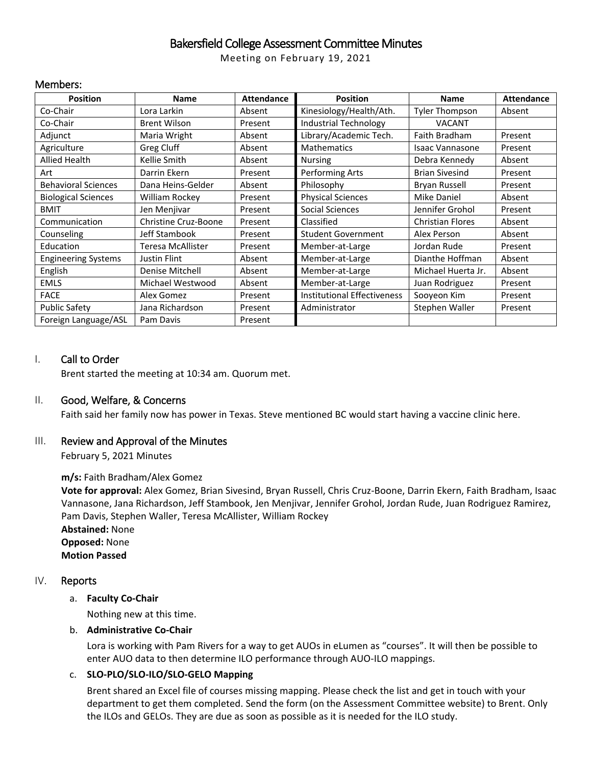# Bakersfield College Assessment Committee Minutes

Meeting on February 19, 2021

#### Members:

| <b>Position</b>            | Name                 | <b>Attendance</b> | <b>Position</b>                    | <b>Name</b>             | <b>Attendance</b> |
|----------------------------|----------------------|-------------------|------------------------------------|-------------------------|-------------------|
| Co-Chair                   | Lora Larkin          | Absent            | Kinesiology/Health/Ath.            | <b>Tyler Thompson</b>   | Absent            |
| Co-Chair                   | <b>Brent Wilson</b>  | Present           | <b>Industrial Technology</b>       | <b>VACANT</b>           |                   |
| Adjunct                    | Maria Wright         | Absent            | Library/Academic Tech.             | Faith Bradham           | Present           |
| Agriculture                | Greg Cluff           | Absent            | <b>Mathematics</b>                 | Isaac Vannasone         | Present           |
| <b>Allied Health</b>       | Kellie Smith         | Absent            | <b>Nursing</b>                     | Debra Kennedy           | Absent            |
| Art                        | Darrin Ekern         | Present           | Performing Arts                    | <b>Brian Sivesind</b>   | Present           |
| <b>Behavioral Sciences</b> | Dana Heins-Gelder    | Absent            | Philosophy                         | Bryan Russell           | Present           |
| <b>Biological Sciences</b> | William Rockey       | Present           | <b>Physical Sciences</b>           | <b>Mike Daniel</b>      | Absent            |
| <b>BMIT</b>                | Jen Menjivar         | Present           | Social Sciences                    | Jennifer Grohol         | Present           |
| Communication              | Christine Cruz-Boone | Present           | Classified                         | <b>Christian Flores</b> | Absent            |
| Counseling                 | Jeff Stambook        | Present           | <b>Student Government</b>          | Alex Person             | Absent            |
| Education                  | Teresa McAllister    | Present           | Member-at-Large                    | Jordan Rude             | Present           |
| <b>Engineering Systems</b> | Justin Flint         | Absent            | Member-at-Large                    | Dianthe Hoffman         | Absent            |
| English                    | Denise Mitchell      | Absent            | Member-at-Large                    | Michael Huerta Jr.      | Absent            |
| <b>EMLS</b>                | Michael Westwood     | Absent            | Member-at-Large                    | Juan Rodriguez          | Present           |
| <b>FACE</b>                | Alex Gomez           | Present           | <b>Institutional Effectiveness</b> | Sooyeon Kim             | Present           |
| <b>Public Safety</b>       | Jana Richardson      | Present           | Administrator                      | Stephen Waller          | Present           |
| Foreign Language/ASL       | Pam Davis            | Present           |                                    |                         |                   |

## I. Call to Order

Brent started the meeting at 10:34 am. Quorum met.

## II. Good, Welfare, & Concerns

Faith said her family now has power in Texas. Steve mentioned BC would start having a vaccine clinic here.

## III. Review and Approval of the Minutes

February 5, 2021 Minutes

## **m/s:** Faith Bradham/Alex Gomez

**Vote for approval:** Alex Gomez, Brian Sivesind, Bryan Russell, Chris Cruz-Boone, Darrin Ekern, Faith Bradham, Isaac Vannasone, Jana Richardson, Jeff Stambook, Jen Menjivar, Jennifer Grohol, Jordan Rude, Juan Rodriguez Ramirez, Pam Davis, Stephen Waller, Teresa McAllister, William Rockey **Abstained:** None **Opposed:** None

**Motion Passed**

## IV. Reports

## a. **Faculty Co-Chair**

Nothing new at this time.

#### b. **Administrative Co-Chair**

Lora is working with Pam Rivers for a way to get AUOs in eLumen as "courses". It will then be possible to enter AUO data to then determine ILO performance through AUO-ILO mappings.

## c. **SLO-PLO/SLO-ILO/SLO-GELO Mapping**

Brent shared an Excel file of courses missing mapping. Please check the list and get in touch with your department to get them completed. Send the form (on the Assessment Committee website) to Brent. Only the ILOs and GELOs. They are due as soon as possible as it is needed for the ILO study.